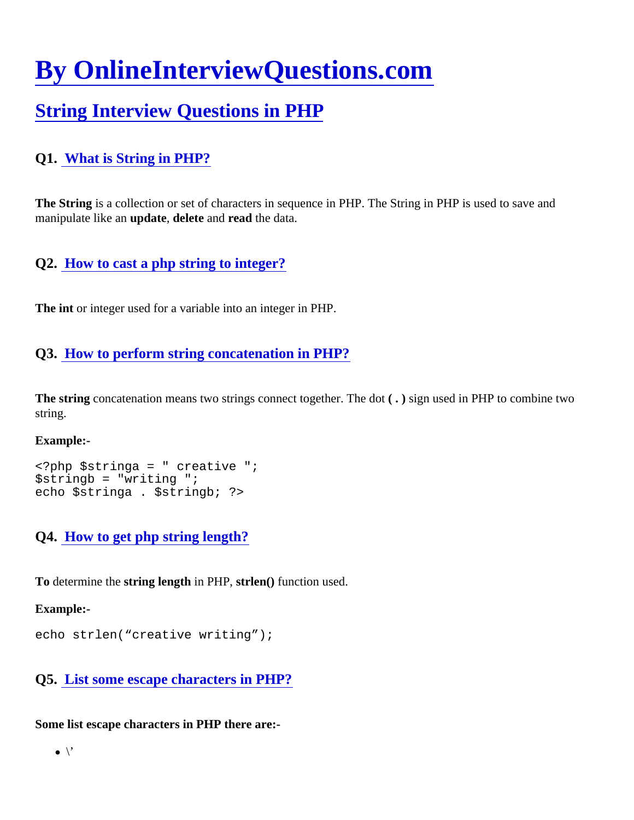# [By OnlineInterviewQuestions.com](https://www.onlineinterviewquestions.com/)

# [String Interview Questions in PHP](https://www.onlineinterviewquestions.com/php-string-interview-questions/)

# Q1. [What is String in PHP?](https://www.onlineinterviewquestions.com/what-is-string-in-php/)

The String is a collection or set of characters in sequence in PHP. The String in PHP is used to save and manipulate like an update, delete and read the data.

Q2. [How to cast a php string to integer?](https://www.onlineinterviewquestions.com/how-to-cast-a-php-string-to-integer/)

The int or integer used for a variable into an integer in PHP.

#### Q3. [How to perform string concatenation in PHP?](https://www.onlineinterviewquestions.com/how-to-perform-string-concatenation-in-php/)

The string concatenation means two strings connect together. The dotgn used in PHP to combine two string.

Example:-

<?php \$stringa = " creative "; \$stringb = "writing "; echo \$stringa . \$stringb; ?>

Q4. [How to get php string length?](https://www.onlineinterviewquestions.com/how-to-get-php-string-length/)

To determine the string length in PHP, strien() function used.

Example:-

```
echo strlen("creative writing");
```
#### Q5. [List some escape characters in PHP](https://www.onlineinterviewquestions.com/list-some-escape-characters-in-php/)?

Some list escape characters in PHP there are:-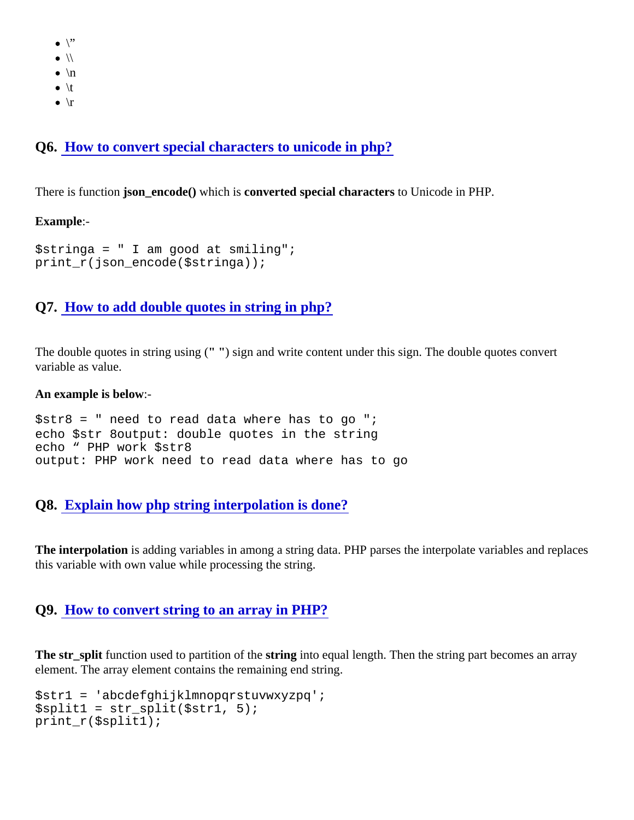- $\bullet$  \"
- $\bullet$  \\
- $\bullet$  \n
- $\bullet$  \t
- $\bullet$  \r

Q6. [How to convert special characters to unicode in php](https://www.onlineinterviewquestions.com/how-to-convert-special-characters-to-unicode-in-php/)?

There is function son\_encode() which is converted special characters to Unicode in PHP.

Example:-

\$stringa = " I am good at smiling"; print\_r(json\_encode(\$stringa));

# Q7. [How to add double quotes in string in php?](https://www.onlineinterviewquestions.com/how-to-add-double-quotes-in-string-in-php/)

The double quotes in string using"() sign and write content under this sign. The double quotes convert variable as value.

An example is below-

 $$str8 = " need to read data where has to go";$ echo \$str 8 output: double quotes in the string echo " PHP work \$str8 output: PHP work need to read data where has to go

# Q8. [Explain how php string interpolation is done?](https://www.onlineinterviewquestions.com/explain-how-php-string-interpolation-is-done/)

The interpolation is adding variables in among a string data. PHP parses the interpolate variables and replace this variable with own value while processing the string.

#### Q9. [How to convert string to an array in PHP?](https://www.onlineinterviewquestions.com/how-to-convert-string-to-an-array-in-php/)

The str\_split function used to partition of the tring into equal length. Then the string part becomes an array element. The array element contains the remaining end string.

\$str1 = 'abcdefghijklmnopqrstuvwxyzpq';  $\text{Ssplit}(5 \text{str.} 5);$ print\_r(\$split1);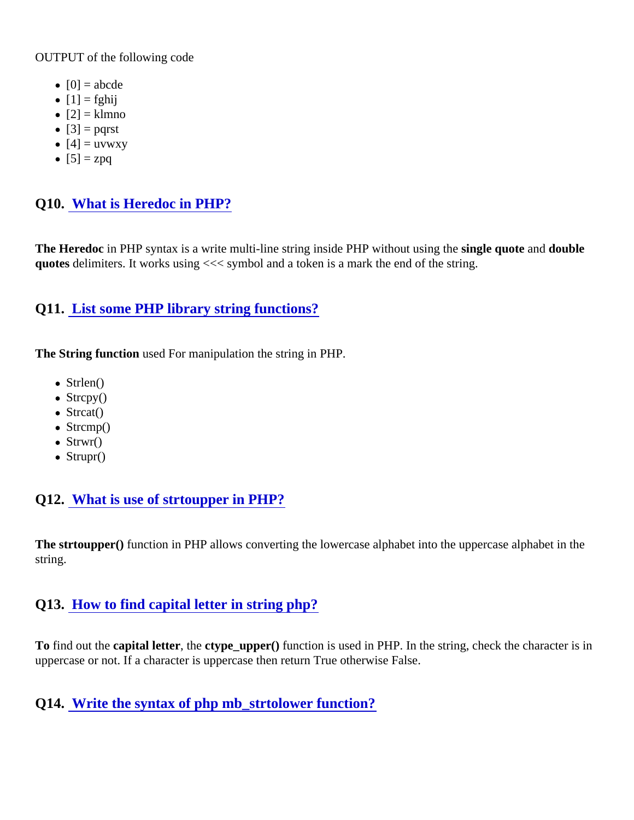OUTPUT of the following code

- $[0] = abcde$
- $\bullet$  [1] = fghij
- $[2] =$  klmno
- $\bullet$  [3] = pqrst
- $\bullet$  [4] = uvwxy
- $[5] = zpq$

# Q10. [What is Heredoc in PHP?](https://www.onlineinterviewquestions.com/what-is-heredoc-in-php/)

The Heredocin PHP syntax is a write multi-line string inside PHP without using ithe e quote and double quotes delimiters. It works using <<< symbol and a token is a mark the end of the string.

# Q11. [List some PHP library string functions?](https://www.onlineinterviewquestions.com/list-some-php-library-string-functions/)

The String function used For manipulation the string in PHP.

- Strlen()
- Strcpy()
- Strcat()
- Strcmp()
- Strwr()
- Strupr()

# Q12. [What is use of strtoupper in PHP?](https://www.onlineinterviewquestions.com/what-is-use-of-strtoupper-in-php/)

The strtoupper() function in PHP allows converting the lowercase alphabet into the uppercase alphabet in the string.

# Q13. [How to find capital letter in string php?](https://www.onlineinterviewquestions.com/how-to-find-capital-letter-in-string-php/)

To find out the capital letter, the ctype\_upper() function is used in PHP. In the string, check the character is in uppercase or not. If a character is uppercase then return True otherwise False.

Q14. [Write the syntax of php mb\\_strtolower function?](https://www.onlineinterviewquestions.com/write-the-syntax-of-php-mb-strtolower-function/)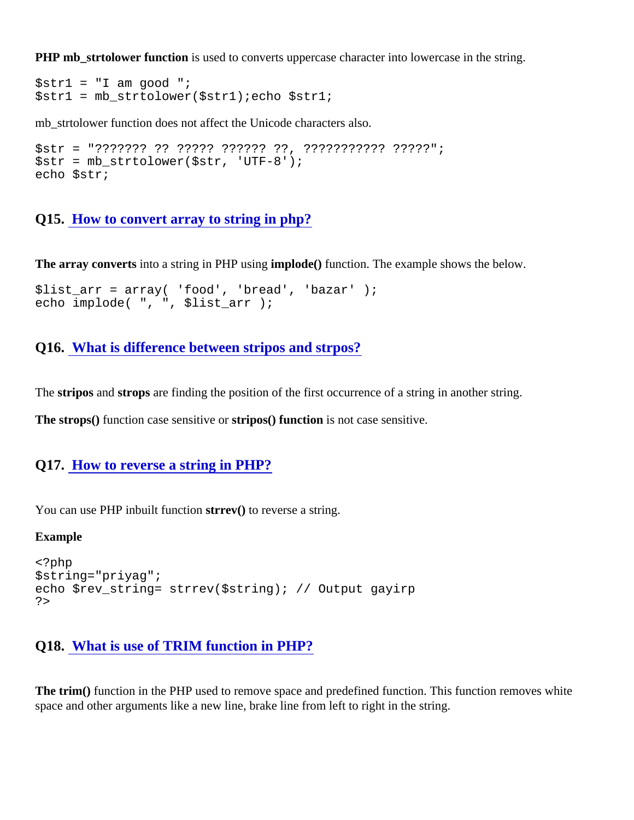PHP mb strtolower function is used to converts uppercase character into lowercase in the string.

 $$str1 = "I am good":$  $$str1 = mb \space str10/5str1$ ; echo  $$str1;$ 

mb strtolower function does not affect the Unicode characters also.

\$str = "??????? ?? ????? ?????? ??, ??????????? ?????"; \$str = mb\_strtolower(\$str, 'UTF-8'); echo \$str;

Q15. [How to convert array to string in php?](https://www.onlineinterviewquestions.com/how-to-convert-array-to-string-in-php/)

The array converts into a string in PHP using molode() function. The example shows the below.

```
$list_arr = array( 'food', 'bread', 'bazar' );
echo implode( ", ", $list_arr );
```
Q16. [What is difference between stripos and strpos](https://www.onlineinterviewquestions.com/what-is-difference-between-stripos-and-strpos/)?

The stripos and strops are finding the position of the first occurrence of a string in another string.

The strops() function case sensitive otripos() function is not case sensitive.

Q17. [How to reverse a string in PHP?](https://www.onlineinterviewquestions.com/how-to-reverse-a-string-in-php/)

You can use PHP inbuilt functional reverse a string.

Example

<?php \$string="priyag"; echo \$rev\_string= strrev(\$string); // Output gayirp ?>

#### Q18. [What is use of TRIM function in PHP?](https://www.onlineinterviewquestions.com/what-is-use-of-trim-function-in-php/)

The trim() function in the PHP used to remove space and predefined function. This function removes white space and other arguments like a new line, brake line from left to right in the string.